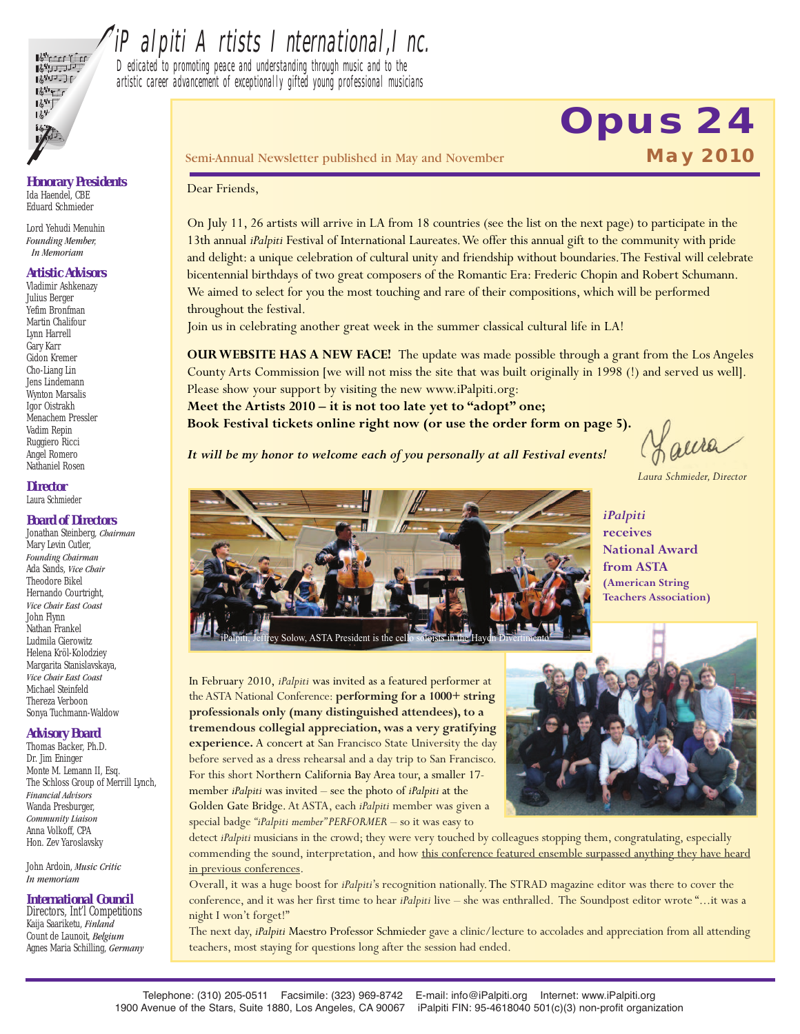

## iPalpiti Artists International, Inc.

Dedicated to promoting peace and understanding through music and to the artistic career advancement of exceptionally gifted young professional musicians

*Honorary Presidents* Ida Haendel, CBE Eduard Schmieder

Lord Yehudi Menuhin *Founding Member, In Memoriam*

#### *Artistic Advisors*

Vladimir Ashkenazy Julius Berger Yefim Bronfman Martin Chalifour Lynn Harrell Gary Karr Gidon Kremer Cho-Liang Lin Jens Lindemann Wynton Marsalis Igor Oistrakh Menachem Pressler Vadim Repin Ruggiero Ricci Angel Romero Nathaniel Rosen

#### *Director* Laura Schmieder

#### *Board of Directors*

Jonathan Steinberg, *Chairman* Mary Levin Cutler, *Founding Chairman* Ada Sands, *Vice Chair* Theodore Bikel Hernando Courtright, *Vice Chair East Coast* John Flynn Nathan Frankel Ludmila Gierowitz Helena Kröl-Kolodziey Margarita Stanislavskaya, *Vice Chair East Coast* Michael Steinfeld Thereza Verboon Sonya Tuchmann-Waldow

#### *Advisory Board*

Thomas Backer, Ph.D. Dr. Jim Eninger Monte M. Lemann II, Esq. The Schloss Group of Merrill Lynch, *Financial Advisors* Wanda Presburger, *Community Liaison* Anna Volkoff, CPA Hon. Zev Yaroslavsky

John Ardoin, *Music Critic In memoriam*

#### *International Council*

Directors, Int'l Competitions Kaija Saariketu, *Finland* Count de Launoit, *Belgium* Agnes Maria Schilling, *Germany* Semi-Annual Newsletter published in May and November **May 2010**

# **Opus 24**

#### Dear Friends,

On July 11, 26 artists will arrive in LA from 18 countries (see the list on the next page) to participate in the 13th annual *iPalpiti* Festival of International Laureates.We offer this annual gift to the community with pride and delight: a unique celebration of cultural unity and friendship without boundaries.The Festival will celebrate bicentennial birthdays of two great composers of the Romantic Era: Frederic Chopin and Robert Schumann. We aimed to select for you the most touching and rare of their compositions, which will be performed throughout the festival.

Join us in celebrating another great week in the summer classical cultural life in LA!

**OURWEBSITE HAS A NEW FACE!** The update was made possible through a grant from the Los Angeles County Arts Commission [we will not miss the site that was built originally in 1998 (!) and served us well]. Please show your support by visiting the new www.iPalpiti.org:

**Meet the Artists 2010 – it is not too late yet to "adopt" one; Book Festival tickets online right now (or use the order form on page 5).**

*It will be my honor to welcome each of you personally at all Festival events!*

Laura

*Laura Schmieder, Director*



*iPalpiti* **receives National Award from ASTA (American String Teachers Association)**

In February 2010, *iPalpiti* was invited as a featured performer at theASTA National Conference: **performing for a 1000+ string professionals only (many distinguished attendees), to a tremendous collegial appreciation, was a very gratifying experience.** A concert at San Francisco State University the day before served as a dress rehearsal and a day trip to San Francisco. For this short Northern California Bay Area tour, a smaller 17 member *iPalpiti* was invited – see the photo of *iPalpiti* at the Golden Gate Bridge.At ASTA, each *iPalpiti* member was given a special badge *"iPalpiti member" PERFORMER* – so it was easy to



detect *iPalpiti* musicians in the crowd; they were very touched by colleagues stopping them, congratulating, especially commending the sound, interpretation, and how this conference featured ensemble surpassed anything they have heard in previous conferences.

Overall, it was a huge boost for *iPalpiti*'s recognition nationally.The STRAD magazine editor was there to cover the conference, and it was her first time to hear *iPalpiti* live – she was enthralled. The Soundpost editor wrote "...it was a night I won't forget!"

The next day, *iPalpiti* Maestro Professor Schmieder gave a clinic/lecture to accolades and appreciation from all attending teachers, most staying for questions long after the session had ended.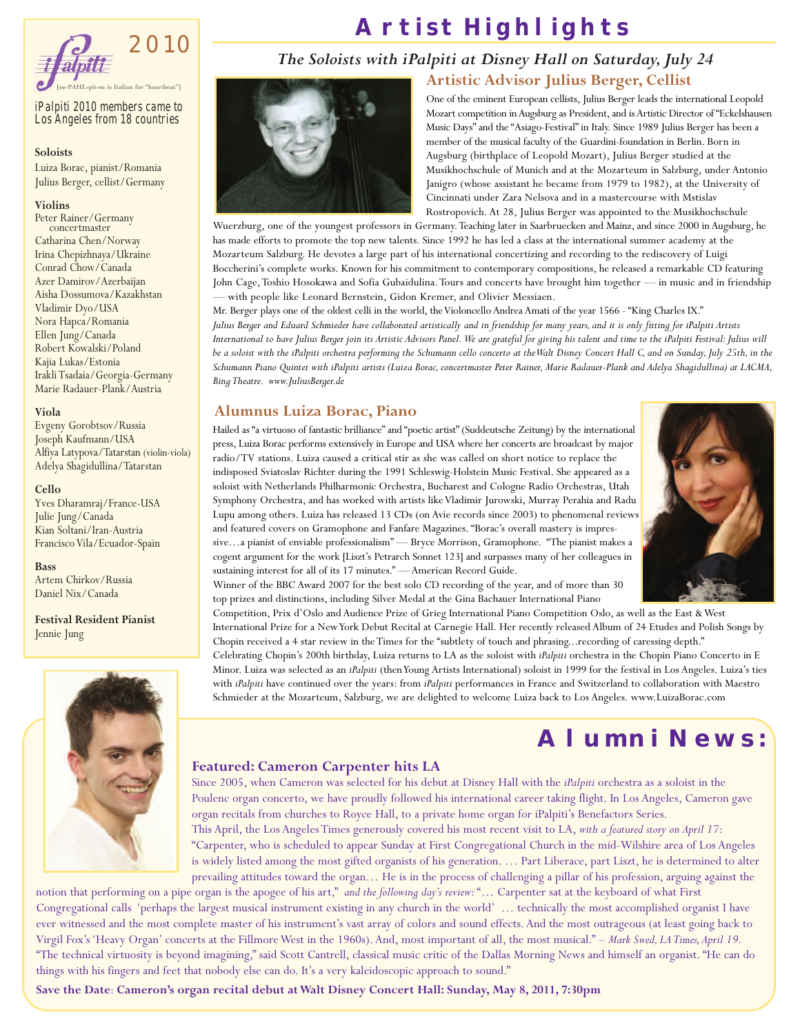

*iPalpiti 2010 members came to Los Angeles from 18 countries*

#### **Soloists**

Luiza Borac, pianist/Romania Julius Berger, cellist/Germany

#### **Violins**

Peter Rainer/Germany concertmaster Catharina Chen/Norway Irina Chepizhnaya/Ukraine Conrad Chow/Canada Azer Damirov/Azerbaijan Aisha Dossumova/Kazakhstan Vladimir Dyo/USA Nora Hapca/Romania Ellen Jung/Canada Robert Kowalski/Poland Kajia Lukas/Estonia IrakliTsadaia/Georgia-Germany Marie Radauer-Plank/Austria

#### **Viola**

Evgeny Gorobtsov/Russia Joseph Kaufmann/USA Alfiya Latypova/Tatarstan (violin-viola) Adelya Shagidullina/Tatarstan

#### **Cello**

Yves Dharamraj/France-USA Julie Jung/Canada Kian Soltani/Iran-Austria Francisco Vila/Ecuador-Spain

#### **Bass**

Artem Chirkov/Russia Daniel Nix/Canada

**Festival Resident Pianist** Jennie Jung



### **Artist Highlights**

### *The Soloists with iPalpiti at Disney Hall on Saturday, July 24*

#### **Artistic Advisor Julius Berger, Cellist**



One of the eminent European cellists, Julius Berger leads the international Leopold Mozart competition in Augsburg as President, and is Artistic Director of "Eckelshausen Music Days"and the "Asiago-Festival" in Italy. Since 1989 Julius Berger has been a member of the musical faculty of the Guardini-foundation in Berlin. Born in Augsburg (birthplace of Leopold Mozart), Julius Berger studied at the Musikhochschule of Munich and at the Mozarteum in Salzburg, under Antonio Janigro (whose assistant he became from 1979 to 1982), at the University of Cincinnati under Zara Nelsova and in a mastercourse with Mstislav Rostropovich. At 28, Julius Berger was appointed to the Musikhochschule

Wuerzburg, one of the youngest professors in Germany.Teaching later in Saarbruecken and Mainz, and since 2000 in Augsburg, he has made efforts to promote the top new talents. Since 1992 he has led a class at the international summer academy at the Mozarteum Salzburg. He devotes a large part of his international concertizing and recording to the rediscovery of Luigi Boccherini's complete works. Known for his commitment to contemporary compositions, he released a remarkable CD featuring John Cage,Toshio Hosokawa and Sofia Gubaidulina.Tours and concerts have brought him together — in music and in friendship — with people like Leonard Bernstein, Gidon Kremer, and Olivier Messiaen.

Mr. Berger plays one of the oldest celli in the world, the Violoncello Andrea Amati of the year 1566 - "King Charles IX." Julius Berger and Eduard Schmieder have collaborated artistically and in friendship for many years, and it is only fitting for iPalpiti Artists International to have Julius Berger join its Artistic Advisors Panel. We are grateful for giving his talent and time to the iPalpiti Festival: Julius will be a soloist with the iPalpiti orchestra performing the Schumann cello concerto at the Walt Disney Concert Hall C, and on Sunday, July 25th, in the Schumann Piano Quintet with iPalpiti artists (Luiza Borac, concertmaster Peter Rainer, Marie Radauer-Plank and Adelya Shagidullina) at LACMA, *Bing Theatre. www.JuliusBerger.de*

#### **Alumnus Luiza Borac, Piano**

Hailed as "a virtuoso of fantastic brilliance"and "poetic artist" (Suddeutsche Zeitung) by the international press, Luiza Borac performs extensively in Europe and USA where her concerts are broadcast by major radio/TV stations. Luiza caused a critical stir as she was called on short notice to replace the indisposed Sviatoslav Richter during the 1991 Schleswig-Holstein Music Festival. She appeared as a soloist with Netherlands Philharmonic Orchestra, Bucharest and Cologne Radio Orchestras, Utah Symphony Orchestra, and has worked with artists likeVladimir Jurowski, Murray Perahia and Radu Lupu among others. Luiza has released 13 CDs (on Avie records since 2003) to phenomenal reviews and featured covers on Gramophone and Fanfare Magazines. "Borac's overall mastery is impressive…a pianist of enviable professionalism" — Bryce Morrison, Gramophone. "The pianist makes a cogent argument for the work [Liszt's Petrarch Sonnet 123] and surpasses many of her colleagues in sustaining interest for all of its 17 minutes." - American Record Guide.



Winner of the BBC Award 2007 for the best solo CD recording of the year, and of more than 30 top prizes and distinctions, including Silver Medal at the Gina Bachauer International Piano

Competition, Prix d'Oslo and Audience Prize of Grieg International Piano Competition Oslo, as well as the East & West International Prize for a NewYork Debut Recital at Carnegie Hall. Her recently released Album of 24 Etudes and Polish Songs by Chopin received a 4 star review in theTimes for the "subtlety of touch and phrasing...recording of caressing depth." Celebrating Chopin's 200th birthday, Luiza returns to LA as the soloist with *iPalpiti* orchestra in the Chopin Piano Concerto in E Minor. Luiza was selected as an *iPalpiti* (thenYoung Artists International) soloist in 1999 for the festival in Los Angeles. Luiza's ties with *iPalpiti* have continued over the years: from *iPalpiti* performances in France and Switzerland to collaboration with Maestro Schmieder at the Mozarteum, Salzburg, we are delighted to welcome Luiza back to Los Angeles. www.LuizaBorac.com

### **Alumni News:**

#### **Featured: Cameron Carpenter hits LA**

Since 2005, when Cameron was selected for his debut at Disney Hall with the *iPalpiti* orchestra as a soloist in the Poulenc organ concerto, we have proudly followed his international career taking flight. In Los Angeles, Cameron gave organ recitals from churches to Royce Hall, to a private home organ for iPalpiti's Benefactors Series. This April, the Los AngelesTimes generously covered his most recent visit to LA, *with a featured story on April 17*: "Carpenter, who is scheduled to appear Sunday at First Congregational Church in the mid-Wilshire area of Los Angeles is widely listed among the most gifted organists of his generation. … Part Liberace, part Liszt, he is determined to alter prevailing attitudes toward the organ… He is in the process of challenging a pillar of his profession, arguing against the

notion that performing on a pipe organ is the apogee of his art," *and the following day's review*: "… Carpenter sat at the keyboard of what First Congregational calls 'perhaps the largest musical instrument existing in any church in the world' … technically the most accomplished organist I have ever witnessed and the most complete master of his instrument's vast array of colors and sound effects.And the most outrageous (at least going back to Virgil Fox's'Heavy Organ' concerts at the FillmoreWest in the 1960s).And, most important of all, the most musical." – *Mark Swed, LA Times,April 19.* "The technical virtuosity is beyond imagining," said Scott Cantrell, classical music critic of the Dallas Morning News and himself an organist. "He can do things with his fingers and feet that nobody else can do. It's a very kaleidoscopic approach to sound."

**Save the Date**: **Cameron's organ recital debut atWalt Disney Concert Hall: Sunday, May 8, 2011, 7:30pm**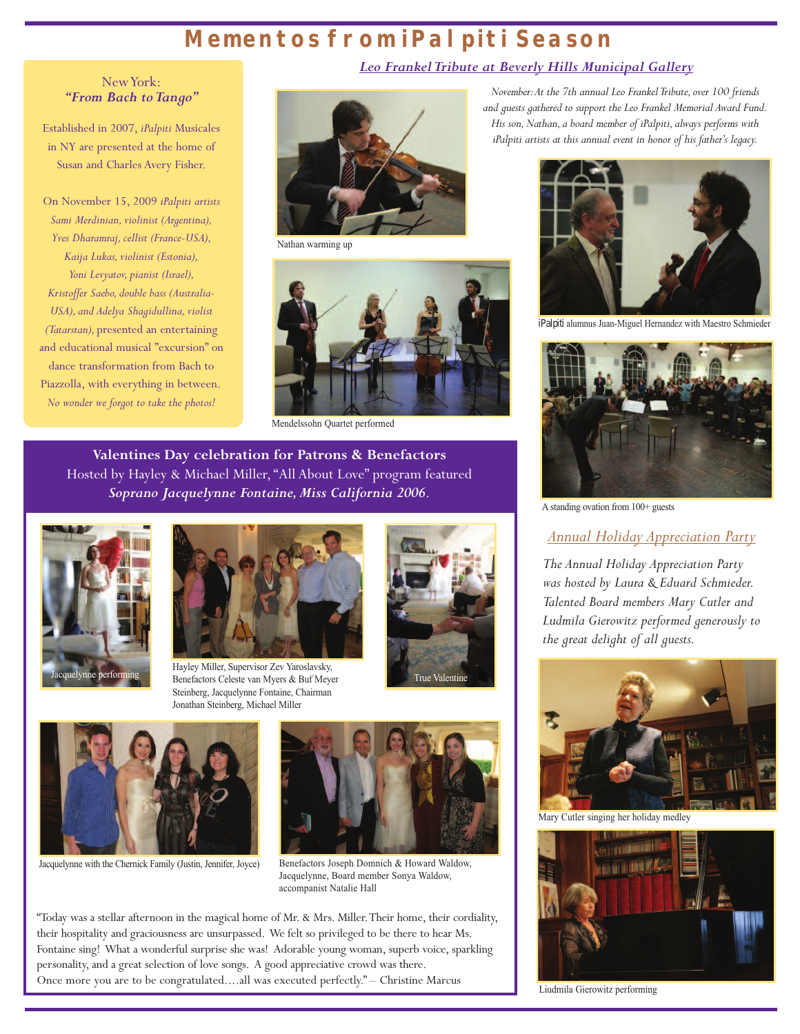### **Mementos from iPalpiti Season**

NewYork: *"From Bach to Tango"* 

Established in 2007, *iPalpiti* Musicales in NY are presented at the home of Susan and Charles Avery Fisher.

On November 15, 2009 *iPalpiti artists Sami Merdinian,violinist (Argentina), Yves Dharamraj,cellist (France-USA),*  $Kaija Lukas, violinist (Estonia),$ *Yoni Levyatov, pianist (Israel), Kristoffer Saebo,double bass (Australia-USA*), and *Adelya Shagidullina*, violist *(Tatarstan),* presented an entertaining and educational musical "excursion" on dance transformation from Bach to Piazzolla, with everything in between. *No wonder we forgot to take the photos!*



Nathan warming up



Mendelssohn Quartet performed

**Valentines Day celebration for Patrons & Benefactors** Hosted by Hayley & Michael Miller, "All About Love" program featured *Soprano Jacquelynne Fontaine,Miss California 2006*.





Jacquelynne performing<br>
Benefactors Celeste van Myers & Buf Meyer<br>
True Valentine Hayley Miller, Supervisor Zev Yaroslavsky, Steinberg, Jacquelynne Fontaine, Chairman Jonathan Steinberg, Michael Miller





Jacquelynne with the Chernick Family (Justin, Jennifer, Joyce)

Benefactors Joseph Domnich & Howard Waldow, Jacquelynne, Board member Sonya Waldow, accompanist Natalie Hall

"Today was a stellar afternoon in the magical home of Mr. & Mrs. Miller.Their home, their cordiality, their hospitality and graciousness are unsurpassed. We felt so privileged to be there to hear Ms. Fontaine sing! What a wonderful surprise she was! Adorable young woman, superb voice, sparkling personality, and a great selection of love songs. A good appreciative crowd was there. Once more you are to be congratulated....all was executed perfectly." – Christine Marcus

#### *Leo FrankelTribute at Beverly Hills Municipal Gallery*

*November: At the 7th annual Leo Frankel Tribute, over 100 friends and guests gathered to support the Leo Frankel Memorial Award Fund. His son,Nathan,a board member of iPalpiti,always performs with iPalpiti artists at this annual event in honor of his father's legacy.*



*iPalpiti* alumnus Juan-Miguel Hernandez with Maestro Schmieder



A standing ovation from 100+ guests

#### *Annual Holiday Appreciation Party*

*The Annual Holiday Appreciation Party was hosted by Laura & Eduard Schmieder. Talented Board members Mary Cutler and Ludmila Gierowitz performed generously to the great delight of all guests.*



Mary Cutler singing her holiday medley



Liudmila Gierowitz performing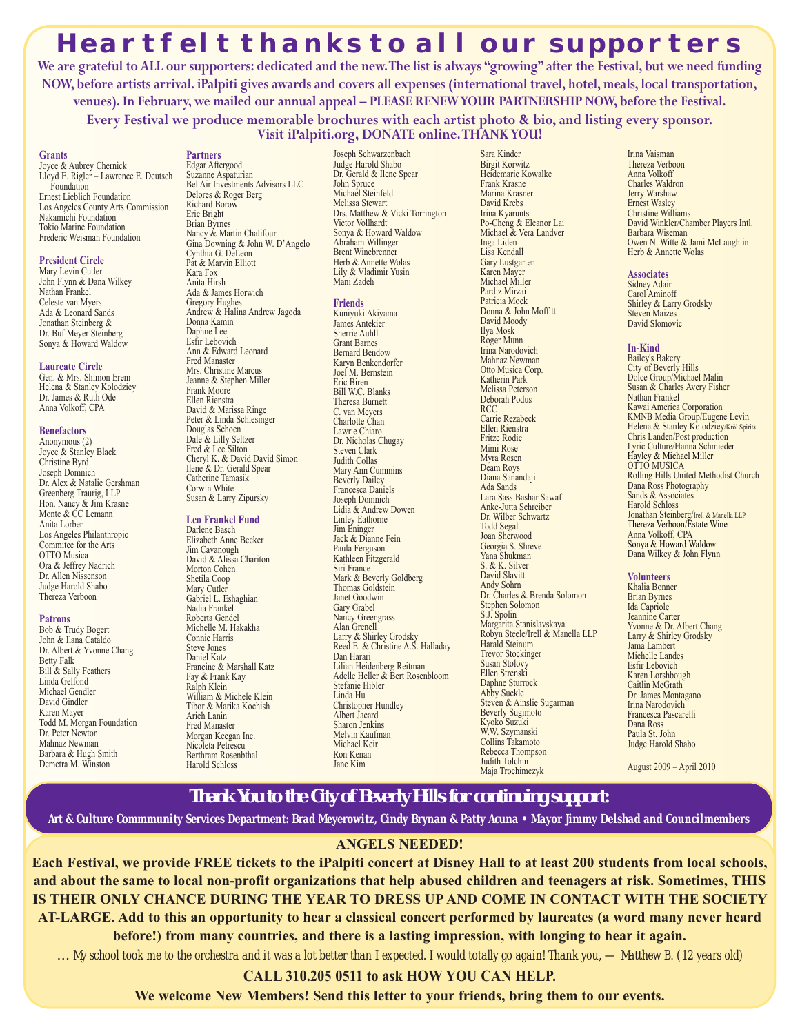### **Heartfelt thanks to all our supporters**

We are grateful to ALL our supporters: dedicated and the new. The list is always "growing" after the Festival, but we need funding NOW, before artists arrival. iPalpiti gives awards and covers all expenses (international travel, hotel, meals, local transportation, **venues).In February, we mailed our annual appeal – PLEASE RENEWYOUR PARTNERSHIP NOW, before the Festival. Every Festival we produce memorable brochures with each artist photo & bio, and listing every sponsor.**

**Visit iPalpiti.org, DONATE online.THANKYOU!**

**Grants** Joyce & Aubrey Chernick Lloyd E. Rigler – Lawrence E. Deutsch Foundation Ernest Lieblich Foundation Los Angeles County Arts Commission Nakamichi Foundation Tokio Marine Foundation Frederic Weisman Foundation

#### **President Circle**

Mary Levin Cutler John Flynn & Dana Wilkey Nathan Frankel Celeste van Myers Ada & Leonard Sands Jonathan Steinberg & Dr. Buf Meyer Steinberg Sonya & Howard Waldow

#### **Laureate Circle**

Gen. & Mrs. Shimon Erem Helena & Stanley Kolodziey Dr. James & Ruth Ode Anna Volkoff, CPA

#### **Benefactors**

Anonymous (2) Joyce & Stanley Black Christine Byrd Joseph Domnich Dr. Alex & Natalie Gershman Greenberg Traurig, LLP Hon. Nancy & Jim Krasne Monte & CC Lemann Anita Lorber Los Angeles Philanthropic Commitee for the Arts OTTO Musica Ora & Jeffrey Nadrich Dr. Allen Nissenson Judge Harold Shabo Thereza Verboon

#### **Patrons**

Bob & Trudy Bogert John & Ilana Cataldo Dr. Albert & Yvonne Chang Betty Falk Bill & Sally Feathers Linda Gelfond Michael Gendler David Gindler Karen Mayer Todd M. Morgan Foundation Dr. Peter Newton Mahnaz Newman Barbara & Hugh Smith Demetra M. Winston

#### **Partners** Edgar Aftergood

Suzanne Aspaturian Bel Air Investments Advisors LLC Delores & Roger Berg Richard Borow Eric Bright Brian Byrnes Nancy & Martin Chalifour Gina Downing & John W. D'Angelo Cynthia G. DeLeon Pat & Marvin Elliott Kara Fox Anita Hirsh Ada & James Horwich Gregory Hughes Andrew & Halina Andrew Jagoda Donna Kamin Daphne Lee Esfir Lebovich Ann & Edward Leonard Fred Manaster Mrs. Christine Marcus Jeanne & Stephen Miller Frank Moore Ellen Rienstra David & Marissa Ringe Peter & Linda Schlesinger Douglas Schoen Dale & Lilly Seltzer Fred & Lee Silton Cheryl K. & David David Simon Ilene & Dr. Gerald Spear Catherine Tamasik Corwin White Susan & Larry Zipursky

#### **Leo Frankel Fund**

Darlene Basch Elizabeth Anne Becker Jim Cavanough David & Alissa Chariton Morton Cohen Shetila Coop Mary Cutler Gabriel L. Eshaghian Nadia Frankel Roberta Gendel Michelle M. Hakakha Connie Harris Steve Jones Daniel Katz Francine & Marshall Katz Fay & Frank Kay Ralph Klein William & Michele Klein Tibor & Marika Kochish Arieh Lanin Fred Manaster Morgan Keegan Inc. Nicoleta Petrescu Berthram Rosenbthal Harold Schloss

Joseph Schwarzenbach Judge Harold Shabo Dr. Gerald & Ilene Spear John Spruce Michael Steinfeld Melissa Stewart Drs. Matthew & Vicki Torrington Victor Vollhardt Sonya & Howard Waldow Abraham Willinger Brent Winebrenner Herb & Annette Wolas Lily & Vladimir Yusin Mani Zadeh

#### **Friends**

Kuniyuki Akiyama James Antekier Sherrie Auhll Grant Barnes Bernard Bendow Karyn Benkendorfer Joel M. Bernstein Eric Biren Bill W.C. Blanks Theresa Burnett C. van Meyers Charlotte Chan Lawrie Chiaro Dr. Nicholas Chugay Steven Clark Judith Collas Mary Ann Cummins Beverly Dailey Francesca Daniels Joseph Domnich Lidia & Andrew Dowen Linley Eathorne Jim Eninger Jack & Dianne Fein Paula Ferguson Kathleen Fitzgerald Siri France Mark & Beverly Goldberg Thomas Goldstein Janet Goodwin Gary Grabel Nancy Greengrass Alan Grenell Larry & Shirley Grodsky Reed E. & Christine A.S. Halladay Dan Harari Lilian Heidenberg Reitman Adelle Heller & Bert Rosenbloom Stefanie Hibler Linda Hu Christopher Hundley Albert Jacard Sharon Jenkins Melvin Kaufman Michael Keir Ron Kenan Jane Kim

Birgit Korwitz Heidemarie Kowalke Frank Krasne Marina Krasner David Krebs Irina Kyarunts Po-Cheng & Eleanor Lai Michael & Vera Landver Inga Liden Lisa Kendall Gary Lustgarten Karen Mayer Michael Miller Pardiz Mirzai Patricia Mock Donna & John Moffitt David Moody Ilya Mosk Roger Munn Irina Narodovich Mahnaz Newman Otto Musica Corp. Katherin Park Melissa Peterson Deborah Podus RCC Carrie Rezabeck Ellen Rienstra Fritze Rodic Mimi Rose Myra Rosen Deam Roys Diana Sanandaji Ada Sands Lara Sass Bashar Sawaf Anke-Jutta Schreiber Dr. Wilber Schwartz Todd Segal Joan Sherwood Georgia S. Shreve Yana Shukman S. & K. Silver David Slavitt Andy Sohrn Dr. Charles & Brenda Solomon Stephen Solomon S.J. Spolin Margarita Stanislavskaya Robyn Steele/Irell & Manella LLP Harald Steinum Trevor Stockinger Susan Stolovy Ellen Strenski Daphne Sturrock Abby Suckle Steven & Ainslie Sugarman Beverly Sugimoto Kyoko Suzuki W.W. Szymanski Collins Takamoto Rebecca Thompson Judith Tolchin Maja Trochimczyk

Sara Kinder

Irina Vaisman Thereza Verboon Anna Volkoff Charles Waldron Jerry Warshaw Ernest Wasley Christine Williams David Winkler/Chamber Players Intl. Barbara Wiseman<br>Owen N. Witte & Jami McLaughlin Herb & Annette Wolas

#### **Associates**

Sidney Adair Carol Aminoff Shirley & Larry Grodsky Steven Maizes David Slomovic

#### **In-Kind**

Bailey's Bakery City of Beverly Hills Dolce Group/Michael Malin Susan & Charles Avery Fisher Nathan Frankel Kawai America Corporation KMNB Media Group/Eugene Levin Helena & Stanley Kolodziey/Kröl Spirits Chris Landen/Post production Lyric Culture/Hanna Schmieder Hayley & Michael Miller OTTO MUSICA Rolling Hills United Methodist Church Dana Ross Photography Sands & Associates Harold Schloss Jonathan Steinberg/Irell & Manella LLP Thereza Verboon/Estate Wine Anna Volkoff, CPA Sonya & Howard Waldow Dana Wilkey & John Flynn

#### **Volunteers**

Khalia Bonner Brian Byrnes Ida Capriole Jeannine Carter Yvonne & Dr. Albert Chang Larry & Shirley Grodsky Jama Lambert Michelle Landes Esfir Lebovich Karen Lorshbough Caitlin McGrath Dr. James Montagano Irina Narodovich Francesca Pascarelli Dana Ross Paula St. John Judge Harold Shabo

August 2009 – April 2010

### **Thank You to the City of Beverly Hills for continuing support:**

Art & Culture Commmunity Services Department: Brad Meyerowitz, Cindy Brynan & Patty Acuna • Mayor Jimmy Delshad and Councilmembers

#### **ANGELS NEEDED!**

Each Festival, we provide FREE tickets to the iPalpiti concert at Disney Hall to at least 200 students from local schools, and about the same to local non-profit organizations that help abused children and teenagers at risk. Sometimes, THIS **IS THEIR ONLY CHANCE DURING THE YEAR TO DRESS UP AND COME IN CONTACT WITH THE SOCIETY** AT-LARGE. Add to this an opportunity to hear a classical concert performed by laureates (a word many never heard **before!) from many countries, and there is a lasting impression, with longing to hear it again.**

... My school took me to the orchestra and it was a lot better than I expected. I would totally go again! Thank you, — Matthew B. (12 years old)

**CALL 310.205 0511 to ask HOW YOU CAN HELP.**

**We welcome New Members! Send this letter to your friends, bring them to our events.**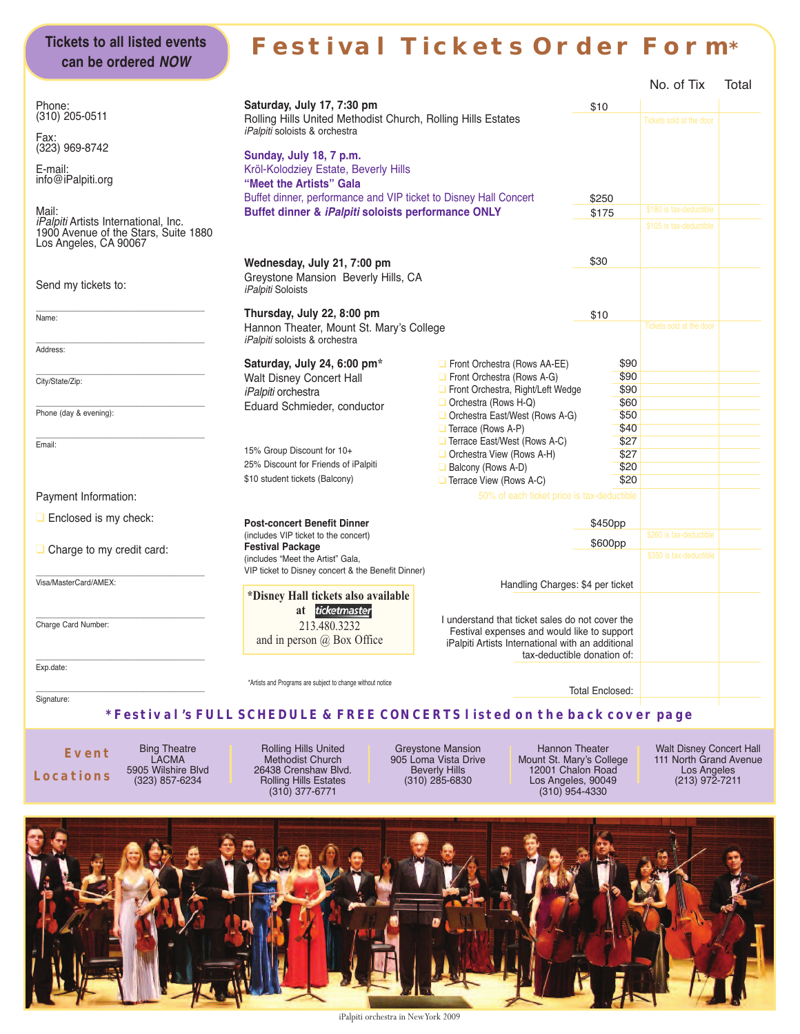### **Festival Tickets Order Form\***

|                                                                                                              |                                                                                                                             |                                                                                                                                                                                    |                                 | No. of Tix               | Total |
|--------------------------------------------------------------------------------------------------------------|-----------------------------------------------------------------------------------------------------------------------------|------------------------------------------------------------------------------------------------------------------------------------------------------------------------------------|---------------------------------|--------------------------|-------|
| Phone:<br>(310) 205-0511                                                                                     | Saturday, July 17, 7:30 pm<br>Rolling Hills United Methodist Church, Rolling Hills Estates<br>iPalpiti soloists & orchestra | \$10                                                                                                                                                                               | <b>Tickets sold at the door</b> |                          |       |
| Fax:<br>(323) 969-8742<br>E-mail:<br>info@iPalpiti.org                                                       | Sunday, July 18, 7 p.m.<br>Kröl-Kolodziey Estate, Beverly Hills<br>"Meet the Artists" Gala                                  |                                                                                                                                                                                    |                                 |                          |       |
| Mail:                                                                                                        | Buffet dinner, performance and VIP ticket to Disney Hall Concert<br>Buffet dinner & iPalpiti soloists performance ONLY      |                                                                                                                                                                                    | \$250                           | \$180 is tax-deductible  |       |
| <i>iPalpiti</i> Artists International, Inc.<br>1900 Avenue of the Stars, Suite 1880<br>Los Angeles, CA 90067 |                                                                                                                             |                                                                                                                                                                                    | \$175                           | \$105 is tax-deductible  |       |
| Wednesday, July 21, 7:00 pm                                                                                  |                                                                                                                             |                                                                                                                                                                                    | \$30                            |                          |       |
| Send my tickets to:                                                                                          | Greystone Mansion Beverly Hills, CA<br><i>iPalpiti</i> Soloists                                                             |                                                                                                                                                                                    |                                 |                          |       |
| Name:                                                                                                        | Thursday, July 22, 8:00 pm                                                                                                  |                                                                                                                                                                                    | \$10                            |                          |       |
|                                                                                                              | Hannon Theater, Mount St. Mary's College                                                                                    |                                                                                                                                                                                    |                                 | Tickets sold at the door |       |
| Address:                                                                                                     | iPalpiti soloists & orchestra                                                                                               |                                                                                                                                                                                    |                                 |                          |       |
|                                                                                                              | Saturday, July 24, 6:00 pm*                                                                                                 | Front Orchestra (Rows AA-EE)                                                                                                                                                       | \$90                            |                          |       |
| City/State/Zip:                                                                                              | Walt Disney Concert Hall<br>iPalpiti orchestra                                                                              | $\Box$ Front Orchestra (Rows A-G)<br>Front Orchestra, Right/Left Wedge                                                                                                             | \$90<br>\$90                    |                          |       |
| Phone (day & evening):                                                                                       | Eduard Schmieder, conductor                                                                                                 | Orchestra (Rows H-Q)<br>$\Box$ Orchestra East/West (Rows A-G)<br>$\Box$ Terrace (Rows A-P)                                                                                         | \$60<br>\$50<br>\$40            |                          |       |
| Email:                                                                                                       | 15% Group Discount for 10+<br>25% Discount for Friends of iPalpiti<br>\$10 student tickets (Balcony)                        | $\Box$ Terrace East/West (Rows A-C)<br>Orchestra View (Rows A-H)<br>Balcony (Rows A-D)<br>Terrace View (Rows A-C)                                                                  | \$27<br>\$27<br>\$20<br>\$20    |                          |       |
| Payment Information:                                                                                         |                                                                                                                             | 50% of each ticket price is tax-deductible                                                                                                                                         |                                 |                          |       |
| $\Box$ Enclosed is my check:                                                                                 | <b>Post-concert Benefit Dinner</b><br>(includes VIP ticket to the concert)                                                  |                                                                                                                                                                                    | \$450pp                         | \$260 is tax-deductible  |       |
| $\Box$ Charge to my credit card:                                                                             | <b>Festival Package</b>                                                                                                     |                                                                                                                                                                                    | \$600pp                         |                          |       |
|                                                                                                              | (includes "Meet the Artist" Gala,                                                                                           |                                                                                                                                                                                    |                                 | \$350 is tax-deductible  |       |
| Visa/MasterCard/AMEX:                                                                                        | VIP ticket to Disney concert & the Benefit Dinner)                                                                          | Handling Charges: \$4 per ticket                                                                                                                                                   |                                 |                          |       |
|                                                                                                              | *Disney Hall tickets also available<br>ticketmaster<br>at                                                                   |                                                                                                                                                                                    |                                 |                          |       |
| Charge Card Number:                                                                                          | 213.480.3232<br>and in person $\omega$ Box Office                                                                           | I understand that ticket sales do not cover the<br>Festival expenses and would like to support<br>iPalpiti Artists International with an additional<br>tax-deductible donation of: |                                 |                          |       |
| Exp.date:                                                                                                    |                                                                                                                             |                                                                                                                                                                                    |                                 |                          |       |
|                                                                                                              | *Artists and Programs are subject to change without notice                                                                  |                                                                                                                                                                                    | <b>Total Enclosed:</b>          |                          |       |
| Signature:                                                                                                   | * Festival 's FULL SCHEDULE & FREE CONCERTS l isted on the back cover page                                                  |                                                                                                                                                                                    |                                 |                          |       |

**Event Locations**

**Tickets to all listed events can be ordered NOW**

> Bing Theatre LACMA 5905 Wilshire Blvd (323) 857-6234

Rolling Hills United Methodist Church 26438 Crenshaw Blvd. Rolling Hills Estates (310) 377-6771

Greystone Mansion 905 Loma Vista Drive Beverly Hills (310) 285-6830

Hannon Theater Mount St. Mary's College 12001 Chalon Road Los Angeles, 90049 (310) 954-4330

Walt Disney Concert Hall 111 North Grand Avenue Los Angeles (213) 972-7211



iPalpiti orchestra in NewYork 2009